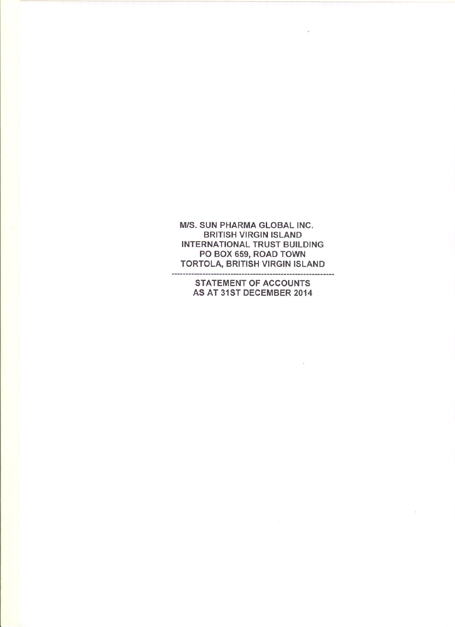**M/S. SUN PHARMA GLOBAL INC. BRITISH VIRGIN ISLAND INTERNATIONAL TRUST BUILDING** PO BOX 659, ROAD TOWN **TORTOLA, BRITISH VIRGIN ISLAND** -------------

**STATEMENT OF ACCOUNTS** AS AT 31ST DECEMBER 2014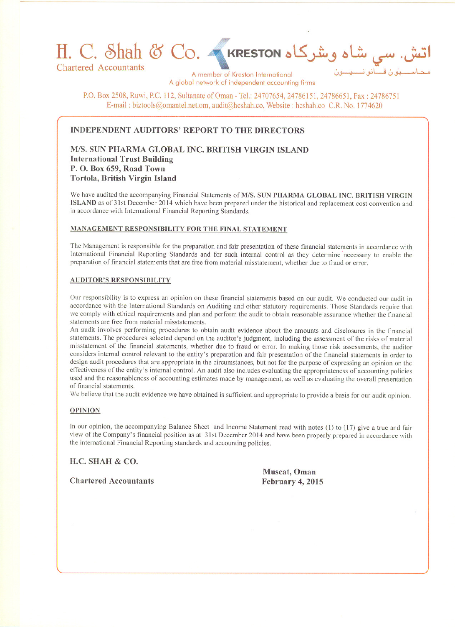# ى شاه وشركاه H. C. Shah & Co. مى هناه وشركاه

**Chartered Accountants** 

A member of Kreston International A global network of independent accounting firms

P.O. Box 2508, Ruwi, P.C. 112, Sultanate of Oman - Tel.: 24707654, 24786151, 24786651, Fax: 24786751 E-mail: biztools@omantel.net.om. audit@hcshah.co, Website: hcshah.co C.R. No. 1774620

# **INDEPENDENT AUDITORS' REPORT TO THE DIRECTORS**

M/S. SUN PHARMA GLOBAL INC. BRITISH VIRGIN ISLAND **International Trust Building** P.O. Box 659, Road Town Tortola, British Virgin Island

We have audited the accompanying Financial Statements of M/S. SUN PHARMA GLOBAL INC. BRITISH VIRGIN ISLAND as of 31st December 2014 which have been prepared under the historical and replacement cost convention and in accordance with International Financial Reporting Standards.

## MANAGEMENT RESPONSIBILITY FOR THE FINAL STATEMENT

The Management is responsible for the preparation and fair presentation of these financial statements in accordance with International Financial Reporting Standards and for such internal control as they determine necessary to enable the preparation of financial statements that are free from material misstatement, whether due to fraud or error.

## **AUDITOR'S RESPONSIBILITY**

Our responsibility is to express an opinion on these financial statements based on our audit. We conducted our audit in accordance with the International Standards on Auditing and other statutory requirements. Those Standards require that we comply with ethical requirements and plan and perform the audit to obtain reasonable assurance whether the financial statements are free from material misstatements.

An audit involves performing procedures to obtain audit evidence about the amounts and disclosures in the financial statements. The procedures selected depend on the auditor's judgment, including the assessment of the risks of material misstatement of the financial statements, whether due to fraud or error. In making those risk assessments, the auditor considers internal control relevant to the entity's preparation and fair presentation of the financial statements in order to design audit procedures that are appropriate in the circumstances, but not for the purpose of expressing an opinion on the effectiveness of the entity's internal control. An audit also includes evaluating the appropriateness of accounting policies used and the reasonableness of accounting estimates made by management, as well as evaluating the overall presentation of financial statements.

We believe that the audit evidence we have obtained is sufficient and appropriate to provide a basis for our audit opinion.

# **OPINION**

In our opinion, the accompanying Balance Sheet and Income Statement read with notes (1) to (17) give a true and fair view of the Company's financial position as at 31st December 2014 and have been properly prepared in accordance with the international Financial Reporting standards and accounting policies.

# H.C. SHAH & CO.

**Chartered Accountants** 

Muscat, Oman February 4, 2015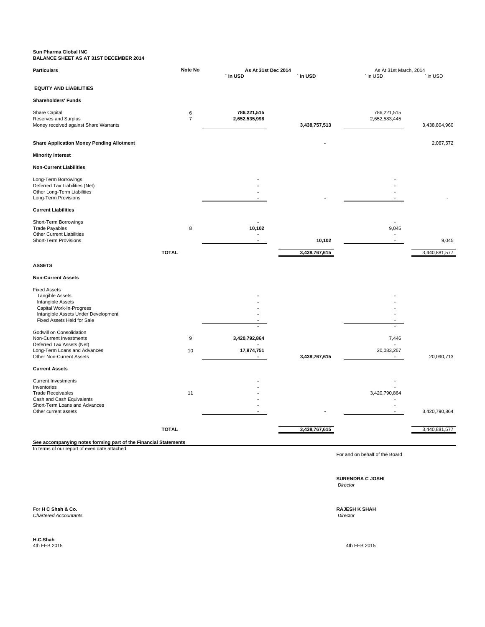#### **Sun Pharma Global INC BALANCE SHEET AS AT 31ST DECEMBER 2014**

| <b>Particulars</b>                                                                                                                                                  | Note No<br>As At 31st Dec 2014 |                              | As At 31st March, 2014 |                                   |               |
|---------------------------------------------------------------------------------------------------------------------------------------------------------------------|--------------------------------|------------------------------|------------------------|-----------------------------------|---------------|
|                                                                                                                                                                     |                                | ` in USD                     | ` in USD               | ` in USD                          | ` in USD      |
| <b>EQUITY AND LIABILITIES</b>                                                                                                                                       |                                |                              |                        |                                   |               |
| <b>Shareholders' Funds</b>                                                                                                                                          |                                |                              |                        |                                   |               |
| Share Capital<br>Reserves and Surplus<br>Money received against Share Warrants                                                                                      | 6<br>$\overline{7}$            | 786,221,515<br>2,652,535,998 | 3,438,757,513          | 786,221,515<br>2,652,583,445      | 3,438,804,960 |
| <b>Share Application Money Pending Allotment</b>                                                                                                                    |                                |                              |                        |                                   | 2,067,572     |
| <b>Minority Interest</b>                                                                                                                                            |                                |                              |                        |                                   |               |
| <b>Non-Current Liabilities</b>                                                                                                                                      |                                |                              |                        |                                   |               |
| Long-Term Borrowings<br>Deferred Tax Liabilities (Net)<br>Other Long-Term Liabilities<br>Long-Term Provisions                                                       |                                |                              |                        |                                   |               |
| <b>Current Liabilities</b>                                                                                                                                          |                                |                              |                        |                                   |               |
| Short-Term Borrowings<br><b>Trade Payables</b><br><b>Other Current Liabilities</b><br><b>Short-Term Provisions</b>                                                  | 8                              | 10,102<br>$\blacksquare$     | 10,102                 | 9,045<br>$\overline{\phantom{a}}$ | 9,045         |
|                                                                                                                                                                     | <b>TOTAL</b>                   |                              | 3,438,767,615          |                                   | 3,440,881,577 |
| <b>ASSETS</b>                                                                                                                                                       |                                |                              |                        |                                   |               |
| <b>Non-Current Assets</b>                                                                                                                                           |                                |                              |                        |                                   |               |
| <b>Fixed Assets</b><br><b>Tangible Assets</b><br>Intangible Assets<br>Capital Work-In-Progress<br>Intangible Assets Under Development<br>Fixed Assets Held for Sale |                                |                              |                        |                                   |               |
| Godwill on Consolidation<br>Non-Current Investments<br>Deferred Tax Assets (Net)<br>Long-Term Loans and Advances                                                    | 9<br>10                        | 3,420,792,864<br>17,974,751  |                        | 7,446<br>20,083,267               |               |
| Other Non-Current Assets                                                                                                                                            |                                | $\blacksquare$               | 3,438,767,615          | $\overline{\phantom{a}}$          | 20,090,713    |
| <b>Current Assets</b>                                                                                                                                               |                                |                              |                        |                                   |               |
| <b>Current Investments</b><br>Inventories<br><b>Trade Receivables</b><br>Cash and Cash Equivalents<br>Short-Term Loans and Advances<br>Other current assets         | 11                             |                              |                        | 3,420,790,864                     | 3,420,790,864 |
|                                                                                                                                                                     | <b>TOTAL</b>                   |                              | 3,438,767,615          |                                   | 3,440,881,577 |
| See accompanying notes forming part of the Financial Statements<br>In terms of our report of even date attached                                                     |                                |                              |                        |                                   |               |

For and on behalf of the Board

**SURENDRA C JOSHI**  *Director*

For **H C Shah & Co. RAJESH K SHAH** *Chartered Accountants Director*

**H.C.Shah**

4th FEB 2015 4th FEB 2015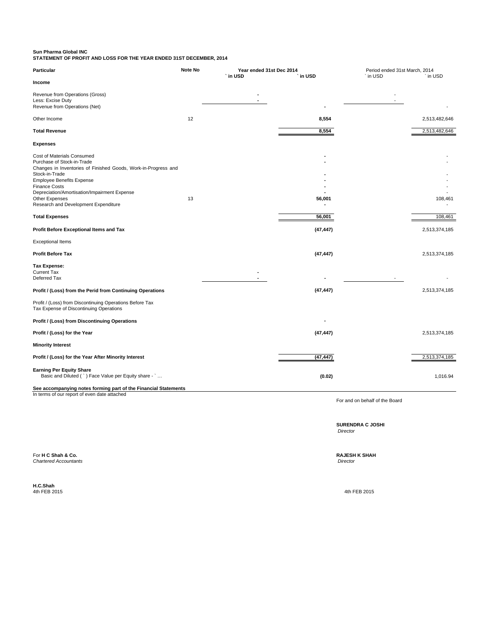## **Sun Pharma Global INC**

**STATEMENT OF PROFIT AND LOSS FOR THE YEAR ENDED 31ST DECEMBER, 2014**

| Particular                                                                                                                                                                                                                                                                                                         | Note No | Year ended 31st Dec 2014<br>in USD | in USD    | Period ended 31st March, 2014<br>` in USD | in USD        |
|--------------------------------------------------------------------------------------------------------------------------------------------------------------------------------------------------------------------------------------------------------------------------------------------------------------------|---------|------------------------------------|-----------|-------------------------------------------|---------------|
| Income                                                                                                                                                                                                                                                                                                             |         |                                    |           |                                           |               |
| Revenue from Operations (Gross)<br>Less: Excise Duty<br>Revenue from Operations (Net)                                                                                                                                                                                                                              |         |                                    |           |                                           |               |
| Other Income                                                                                                                                                                                                                                                                                                       | 12      |                                    | 8,554     |                                           | 2,513,482,646 |
| <b>Total Revenue</b>                                                                                                                                                                                                                                                                                               |         |                                    | 8,554     |                                           | 2,513,482,646 |
| <b>Expenses</b>                                                                                                                                                                                                                                                                                                    |         |                                    |           |                                           |               |
| Cost of Materials Consumed<br>Purchase of Stock-in-Trade<br>Changes in Inventories of Finished Goods, Work-in-Progress and<br>Stock-in-Trade<br><b>Employee Benefits Expense</b><br><b>Finance Costs</b><br>Depreciation/Amortisation/Impairment Expense<br>Other Expenses<br>Research and Development Expenditure | 13      |                                    | 56,001    |                                           | 108,461       |
| <b>Total Expenses</b>                                                                                                                                                                                                                                                                                              |         |                                    | 56,001    |                                           | 108,461       |
| Profit Before Exceptional Items and Tax                                                                                                                                                                                                                                                                            |         |                                    | (47, 447) |                                           | 2,513,374,185 |
| <b>Exceptional Items</b>                                                                                                                                                                                                                                                                                           |         |                                    |           |                                           |               |
| <b>Profit Before Tax</b>                                                                                                                                                                                                                                                                                           |         |                                    | (47, 447) |                                           | 2,513,374,185 |
| <b>Tax Expense:</b><br><b>Current Tax</b><br>Deferred Tax                                                                                                                                                                                                                                                          |         |                                    |           |                                           |               |
| Profit / (Loss) from the Perid from Continuing Operations                                                                                                                                                                                                                                                          |         |                                    | (47, 447) |                                           | 2,513,374,185 |
| Profit / (Loss) from Discontinuing Operations Before Tax<br>Tax Expense of Discontinuing Operations                                                                                                                                                                                                                |         |                                    |           |                                           |               |
| Profit / (Loss) from Discontinuing Operations                                                                                                                                                                                                                                                                      |         |                                    |           |                                           |               |
| Profit / (Loss) for the Year                                                                                                                                                                                                                                                                                       |         |                                    | (47, 447) |                                           | 2,513,374,185 |
| <b>Minority Interest</b>                                                                                                                                                                                                                                                                                           |         |                                    |           |                                           |               |
| Profit / (Loss) for the Year After Minority Interest                                                                                                                                                                                                                                                               |         |                                    | (47, 447) |                                           | 2,513,374,185 |
| <b>Earning Per Equity Share</b><br>Basic and Diluted (`) Face Value per Equity share - `<br>See accompanying notes forming part of the Financial Statements                                                                                                                                                        |         |                                    | (0.02)    |                                           | 1,016.94      |
| In terms of our report of even date attached                                                                                                                                                                                                                                                                       |         |                                    |           |                                           |               |

For and on behalf of the Board

**SURENDRA C JOSHI**  *Director*

For **H C Shah & Co. RAJESH K SHAH**

**Chartered Accountants** 

**H.C.Shah**

4th FEB 2015 4th FEB 2015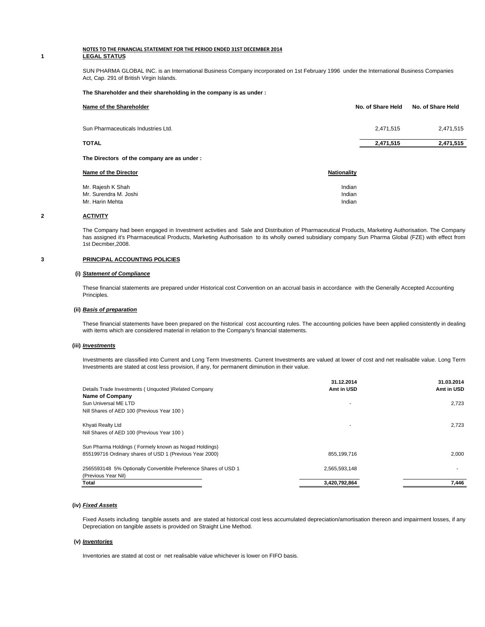#### **NOTES TO THE FINANCIAL STATEMENT FOR THE PERIOD ENDED 31ST DECEMBER 2014 1 LEGAL STATUS**

SUN PHARMA GLOBAL INC. is an International Business Company incorporated on 1st February 1996 under the International Business Companies Act, Cap. 291 of British Virgin Islands.

#### **The Shareholder and their shareholding in the company is as under :**

| Name of the Shareholder                    | No. of Share Held | No. of Share Held |  |
|--------------------------------------------|-------------------|-------------------|--|
| Sun Pharmaceuticals Industries Ltd.        | 2.471.515         | 2,471,515         |  |
| <b>TOTAL</b>                               | 2,471,515         | 2,471,515         |  |
| The Directors of the company are as under: |                   |                   |  |

| <b>Nationality</b> |
|--------------------|
| Indian             |
| Indian             |
| Indian             |
|                    |

### **2 ACTIVITY**

The Company had been engaged in Investment activities and Sale and Distribution of Pharmaceutical Products, Marketing Authorisation. The Company has assigned it's Pharmaceutical Products, Marketing Authorisation to its wholly owned subsidiary company Sun Pharma Global (FZE) with effect from 1st Decmber,2008.

#### **3 PRINCIPAL ACCOUNTING POLICIES**

#### **(i)** *Statement of Compliance*

These financial statements are prepared under Historical cost Convention on an accrual basis in accordance with the Generally Accepted Accounting Principles.

#### **(ii)** *Basis of preparation*

These financial statements have been prepared on the historical cost accounting rules. The accounting policies have been applied consistently in dealing with items which are considered material in relation to the Company's financial statements.

#### **(iii)** *Investments*

Investments are classified into Current and Long Term Investments. Current Investments are valued at lower of cost and net realisable value. Long Term Investments are stated at cost less provision, if any, for permanent diminution in their value.

| Details Trade Investments (Unquoted) Related Company            | 31.12.2014<br>Amt in USD | 31.03.2014<br>Amt in USD |
|-----------------------------------------------------------------|--------------------------|--------------------------|
| Name of Company                                                 |                          |                          |
| Sun Universal ME LTD                                            |                          | 2,723                    |
| Nill Shares of AED 100 (Previous Year 100)                      |                          |                          |
| Khyati Realty Ltd                                               |                          | 2,723                    |
| Nill Shares of AED 100 (Previous Year 100)                      |                          |                          |
| Sun Pharma Holdings (Formely known as Nogad Holdings)           |                          |                          |
| 855199716 Ordinary shares of USD 1 (Previous Year 2000)         | 855.199.716              | 2.000                    |
| 2565593148 5% Optionally Convertible Preference Shares of USD 1 | 2,565,593,148            |                          |
| (Previous Year Nil)                                             |                          |                          |
| Total                                                           | 3,420,792,864            | 7,446                    |

#### **(iv)** *Fixed Assets*

Fixed Assets including tangible assets and are stated at historical cost less accumulated depreciation/amortisation thereon and impairment losses, if any Depreciation on tangible assets is provided on Straight Line Method.

#### **(v)** *Inventories*

Inventories are stated at cost or net realisable value whichever is lower on FIFO basis.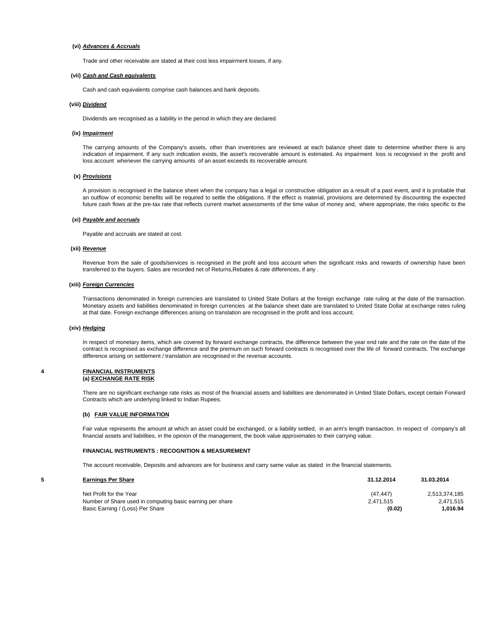#### **(vi)** *Advances & Accruals*

Trade and other receivable are stated at their cost less impairment losses, if any.

#### **(vii)** *Cash and Cash equivalents*

Cash and cash equivalents comprise cash balances and bank deposits.

#### **(viii)** *Dividend*

Dividends are recognised as a liability in the period in which they are declared.

#### **(ix)** *Impairment*

The carrying amounts of the Company's assets, other than inventories are reviewed at each balance sheet date to determine whether there is any indication of impairment. If any such indication exists, the asset's recoverable amount is estimated. As impairment loss is recognised in the profit and loss account whenever the carrying amounts of an asset exceeds its recoverable amount.

#### **(x)** *Provisions*

A provision is recognised in the balance sheet when the company has a legal or constructive obligation as a result of a past event, and it is probable that an outflow of economic benefits will be required to settle the obligations. If the effect is material, provisions are determined by discounting the expected future cash flows at the pre-tax rate that reflects current market assessments of the time value of money and, where appropriate, the risks specific to the

#### **(xi)** *Payable and accruals*

Payable and accruals are stated at cost.

#### **(xii)** *Revenue*

Revenue from the sale of goods/services is recognised in the profit and loss account when the significant risks and rewards of ownership have been transferred to the buyers. Sales are recorded net of Returns,Rebates & rate differences, if any .

#### **(xiii)** *Foreign Currencies*

Transactions denominated in foreign currencies are translated to United State Dollars at the foreign exchange rate ruling at the date of the transaction. Monetary assets and liabilities denominated in foreign currencies at the balance sheet date are translated to United State Dollar at exchange rates ruling at that date. Foreign exchange differences arising on translation are recognised in the profit and loss account.

#### **(xiv)** *Hedging*

In respect of monetary items, which are covered by forward exchange contracts, the difference between the year end rate and the rate on the date of the contract is recognised as exchange difference and the premium on such forward contracts is recognised over the life of forward contracts. The exchange difference arising on settlement / translation are recognised in the revenue accounts.

#### **4 FINANCIAL INSTRUMENTS (a) EXCHANGE RATE RISK**

There are no significant exchange rate risks as most of the financial assets and liabilities are denominated in United State Dollars, except certain Forward Contracts which are underlying linked to Indian Rupees.

#### **(b) FAIR VALUE INFORMATION**

Fair value represents the amount at which an asset could be exchanged, or a liability settled, in an arm's length transaction. In respect of company's all financial assets and liabilities, in the opinion of the management, the book value approximates to their carrying value.

#### **FINANCIAL INSTRUMENTS : RECOGNITION & MEASUREMENT**

The account receivable, Deposits and advances are for business and carry same value as stated in the financial statements.

#### **5 Earnings Per Share 31.12.2014 31.03.2014**

| Net Profit for the Year                                   | (47.447)  | 2,513,374,185 |
|-----------------------------------------------------------|-----------|---------------|
| Number of Share used in computing basic earning per share | 2.471.515 | 2,471,515     |
| Basic Earning / (Loss) Per Share                          | (0.02)    | 1.016.94      |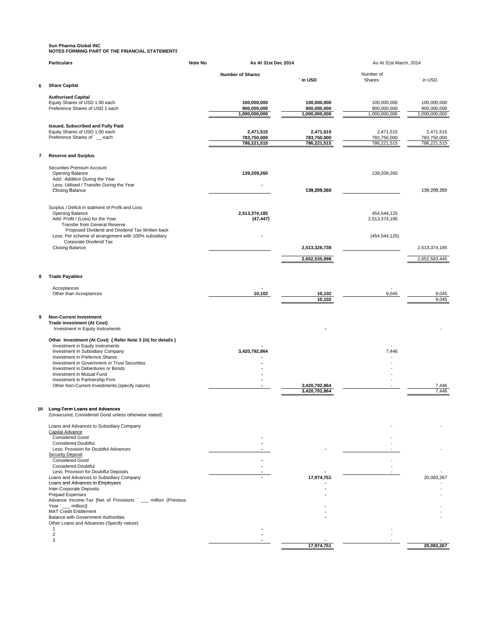# **Sun Pharma Global INC NOTES FORMING PART OF THE FINANCIAL STATEMENTS**

|    | <b>Particulars</b>                                                               | Note No | As At 31st Dec 2014        |                            | As At 31st March, 2014       |                            |
|----|----------------------------------------------------------------------------------|---------|----------------------------|----------------------------|------------------------------|----------------------------|
|    |                                                                                  |         | <b>Number of Shares</b>    | ` in USD                   | Number of<br>Shares          | ` in USD                   |
| 6  | <b>Share Capital</b>                                                             |         |                            |                            |                              |                            |
|    | <b>Authorised Capital</b>                                                        |         |                            |                            |                              |                            |
|    | Equity Shares of USD 1.00 each<br>Preference Shares of USD 1 each                |         | 100,000,000<br>900,000,000 | 100,000,000<br>900,000,000 | 100,000,000<br>900,000,000   | 100,000,000<br>900,000,000 |
|    |                                                                                  |         | 1,000,000,000              | 1,000,000,000              | 1,000,000,000                | 1,000,000,000              |
|    | Issued, Subscribed and Fully Paid                                                |         |                            |                            |                              |                            |
|    | Equity Shares of USD 1.00 each<br>Preference Shares of ` each                    |         | 2,471,515<br>783,750,000   | 2,471,515<br>783,750,000   | 2,471,515<br>783,750,000     | 2,471,515<br>783,750,000   |
|    |                                                                                  |         | 786,221,515                | 786,221,515                | 786,221,515                  | 786,221,515                |
| 7  | <b>Reserve and Surplus</b>                                                       |         |                            |                            |                              |                            |
|    |                                                                                  |         |                            |                            |                              |                            |
|    | Securities Premium Account<br>Opening Balance                                    |         | 139,209,260                |                            | 139,209,260                  |                            |
|    | Add: Addition During the Year<br>Less: Utilised / Transfer During the Year       |         |                            |                            |                              |                            |
|    | Closing Balance                                                                  |         |                            | 139,209,260                |                              | 139,209,260                |
|    |                                                                                  |         |                            |                            |                              |                            |
|    | Surplus / Deficit in statment of Profit and Loss                                 |         |                            |                            |                              |                            |
|    | Opening Balance<br>Add: Profit / (Loss) for the Year                             |         | 2,513,374,185<br>(47, 447) |                            | 454,544,125<br>2,513,374,185 |                            |
|    | Transfer from General Reserve<br>Proposed Dividend and Dividend Tax Written back |         |                            |                            |                              |                            |
|    | Less: Per scheme of arrangement with 100% subsidiary                             |         |                            |                            | (454, 544, 125)              |                            |
|    | Corporate Dividend Tax<br>Closing Balance                                        |         |                            | 2,513,326,738              |                              | 2,513,374,185              |
|    |                                                                                  |         |                            | 2,652,535,998              |                              | 2,652,583,445              |
|    |                                                                                  |         |                            |                            |                              |                            |
| 8  | <b>Trade Payables</b>                                                            |         |                            |                            |                              |                            |
|    |                                                                                  |         |                            |                            |                              |                            |
|    | Acceptances<br>Other than Acceptances                                            |         | 10,102                     | 10,102                     | 9,045                        | 9,045                      |
|    |                                                                                  |         |                            | 10,102                     |                              | 9.045                      |
|    |                                                                                  |         |                            |                            |                              |                            |
| 9  | <b>Non-Current Investment</b><br><b>Trade investment (At Cost)</b>               |         |                            |                            |                              |                            |
|    | Investment in Equity Instruments                                                 |         |                            |                            |                              |                            |
|    | Other Investment (At Cost) { Refer Note 3 (iii) for details }                    |         |                            |                            |                              |                            |
|    | Investment in Equity Instruments<br>Investment In Subsidiary Company             |         | 3,420,792,864              |                            | 7,446                        |                            |
|    | Investment in Prefernce Shares<br>Investment in Government or Trust Securities   |         |                            |                            |                              |                            |
|    | Investment in Debentures or Bonds                                                |         |                            |                            |                              |                            |
|    | Investment in Mutual Fund<br>Investment in Partnership Firm                      |         |                            |                            |                              |                            |
|    | Other Non-Current Investments (specify nature)                                   |         |                            | 3,420,792,864              |                              | 7,446                      |
|    |                                                                                  |         |                            | 3,420,792,864              |                              | 7,446                      |
| 10 | <b>Long-Term Loans and Advances</b>                                              |         |                            |                            |                              |                            |
|    | (Unsecured, Considered Good unless otherwise stated)                             |         |                            |                            |                              |                            |
|    | Loans and Advances to Subsidiary Company                                         |         |                            |                            |                              |                            |
|    | Capital Advance<br><b>Considered Good</b>                                        |         |                            |                            |                              |                            |
|    | <b>Considered Doubtful</b>                                                       |         |                            |                            |                              |                            |
|    | Less: Provision for Doubtful Advances<br><b>Security Deposit</b>                 |         |                            |                            |                              |                            |
|    | <b>Considered Good</b>                                                           |         |                            |                            |                              |                            |
|    | <b>Considered Doubtful</b><br>Less: Provision for Doubtful Deposits              |         |                            |                            |                              |                            |
|    | Loans and Advances to Subsidiary Company<br>Loans and Advances to Employees      |         |                            | 17,974,751                 |                              | 20,083,267                 |
|    | Inter-Corporate Deposits                                                         |         |                            |                            |                              |                            |
|    | Prepaid Expenses<br>Advance Income-Tax [Net of Provisions ` __ million (Previous |         |                            |                            |                              |                            |
|    | Year ` __ million)]                                                              |         |                            |                            |                              |                            |
|    | <b>MAT Credit Entitlement</b><br><b>Balance with Government Authorities</b>      |         |                            |                            |                              |                            |
|    | Other Loans and Advances (Specify nature)<br>$\mathbf{1}$                        |         |                            |                            |                              |                            |
|    | $\overline{c}$                                                                   |         |                            |                            |                              |                            |
|    | 3                                                                                |         |                            | 17,974,751                 |                              | 20,083,267                 |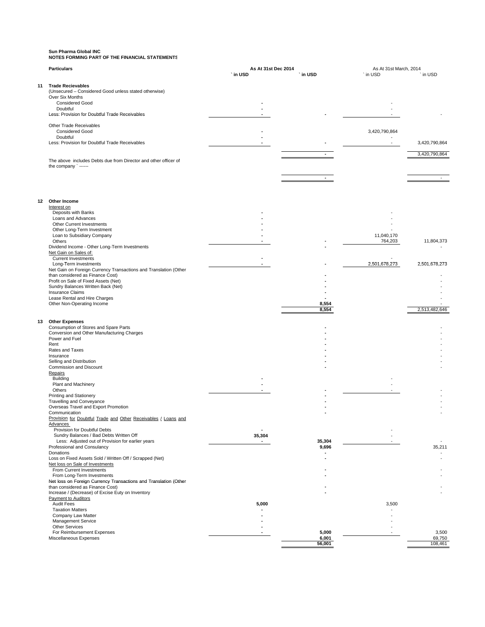# **Sun Pharma Global INC NOTES FORMING PART OF THE FINANCIAL STATEMENTS**

|    | <b>Particulars</b>                                                                                   |                | As At 31st Dec 2014 |               | As At 31st March, 2014 |  |
|----|------------------------------------------------------------------------------------------------------|----------------|---------------------|---------------|------------------------|--|
|    |                                                                                                      | ` in USD       | ` in USD            | ` in USD      | ` in USD               |  |
| 11 | <b>Trade Recievables</b>                                                                             |                |                     |               |                        |  |
|    | (Unsecured - Considered Good unless stated otherwise)                                                |                |                     |               |                        |  |
|    | Over Six Months                                                                                      |                |                     |               |                        |  |
|    | <b>Considered Good</b><br>Doubtful                                                                   |                |                     |               |                        |  |
|    | Less: Provision for Doubtful Trade Receivables                                                       |                |                     |               |                        |  |
|    |                                                                                                      |                |                     |               |                        |  |
|    | Other Trade Receivables                                                                              |                |                     |               |                        |  |
|    | <b>Considered Good</b><br>Doubtful                                                                   |                |                     | 3,420,790,864 |                        |  |
|    | Less: Provision for Doubtful Trade Receivables                                                       |                |                     |               | 3,420,790,864          |  |
|    |                                                                                                      |                |                     |               |                        |  |
|    |                                                                                                      |                |                     |               | 3,420,790,864          |  |
|    | The above includes Debts due from Director and other officer of<br>the company `------               |                |                     |               |                        |  |
|    |                                                                                                      |                |                     |               |                        |  |
|    |                                                                                                      |                |                     |               |                        |  |
|    |                                                                                                      |                |                     |               |                        |  |
|    |                                                                                                      |                |                     |               |                        |  |
|    | 12 Other Income                                                                                      |                |                     |               |                        |  |
|    | Interest on                                                                                          |                |                     |               |                        |  |
|    | Deposits with Banks                                                                                  |                |                     |               |                        |  |
|    | Loans and Advances                                                                                   |                |                     |               |                        |  |
|    | Other Current Investments<br>Other Long-Term Investment                                              |                |                     |               |                        |  |
|    | Loan to Subsidiary Company                                                                           |                |                     | 11,040,170    |                        |  |
|    | Others                                                                                               |                |                     | 764,203       | 11,804,373             |  |
|    | Dividend Income - Other Long-Term Investments                                                        |                |                     |               |                        |  |
|    | Net Gain on Sales of:<br><b>Current Investments</b>                                                  |                |                     |               |                        |  |
|    | Long-Term investments                                                                                |                |                     | 2,501,678,273 | 2,501,678,273          |  |
|    | Net Gain on Foreign Currency Transactions and Translation (Other                                     |                |                     |               |                        |  |
|    | than considered as Finance Cost)                                                                     |                |                     |               |                        |  |
|    | Profit on Sale of Fixed Assets (Net)<br>Sundry Balances Written Back (Net)                           |                |                     |               |                        |  |
|    | <b>Insurance Claims</b>                                                                              |                |                     |               |                        |  |
|    | Lease Rental and Hire Charges                                                                        |                |                     |               |                        |  |
|    | Other Non-Operating Income                                                                           |                | 8,554               |               |                        |  |
|    |                                                                                                      |                | 8,554               |               | 2,513,482,646          |  |
| 13 | <b>Other Expenses</b>                                                                                |                |                     |               |                        |  |
|    | Consumption of Stores and Spare Parts                                                                |                |                     |               |                        |  |
|    | Conversion and Other Manufacturing Charges                                                           |                |                     |               |                        |  |
|    | Power and Fuel<br>Rent                                                                               |                |                     |               |                        |  |
|    | Rates and Taxes                                                                                      |                |                     |               |                        |  |
|    | Insurance                                                                                            |                |                     |               |                        |  |
|    | Selling and Distribution                                                                             |                |                     |               |                        |  |
|    | Commission and Discount<br>Repairs                                                                   |                |                     |               |                        |  |
|    | Building                                                                                             |                |                     |               |                        |  |
|    | Plant and Machinery                                                                                  |                |                     |               |                        |  |
|    | Others                                                                                               |                |                     |               |                        |  |
|    | Printing and Stationery<br>Travelling and Conveyance                                                 |                |                     |               |                        |  |
|    | Overseas Travel and Export Promotion                                                                 |                |                     |               |                        |  |
|    | Communication                                                                                        |                |                     |               |                        |  |
|    | Provision for Doubtful Trade and Other Receivables / Loans and                                       |                |                     |               |                        |  |
|    | <b>Advances</b><br>Provision for Doubtful Debts                                                      |                |                     |               |                        |  |
|    | Sundry Balances / Bad Debts Written Off                                                              | 35,304         |                     |               |                        |  |
|    | Less: Adjusted out of Provision for earlier years                                                    | $\blacksquare$ | 35,304              |               |                        |  |
|    | Professional and Consulancy                                                                          |                | 9,696               |               | 35,211                 |  |
|    | Donations<br>Loss on Fixed Assets Sold / Written Off / Scrapped (Net)                                |                |                     |               |                        |  |
|    | Net loss on Sale of Investments                                                                      |                |                     |               |                        |  |
|    | From Current Investments                                                                             |                |                     |               |                        |  |
|    | From Long-Term Investments                                                                           |                |                     |               |                        |  |
|    | Net loss on Foreign Currency Transactions and Translation (Other<br>than considered as Finance Cost) |                |                     |               |                        |  |
|    | Increase / (Decrease) of Excise Euty on Inventory                                                    |                |                     |               |                        |  |
|    | Payment to Auditors                                                                                  |                |                     |               |                        |  |
|    | Audit Fees                                                                                           | 5,000          |                     | 3,500         |                        |  |
|    | <b>Taxation Matters</b>                                                                              |                |                     |               |                        |  |
|    | Company Law Matter<br>Management Service                                                             |                |                     |               |                        |  |
|    | <b>Other Services</b>                                                                                |                |                     |               |                        |  |
|    | For Reimbursement Expenses                                                                           |                | 5,000               |               | 3,500                  |  |
|    | Miscellaneous Expenses                                                                               |                | 6,001               |               | 69,750                 |  |
|    |                                                                                                      |                | 56,001              |               | 108,461                |  |